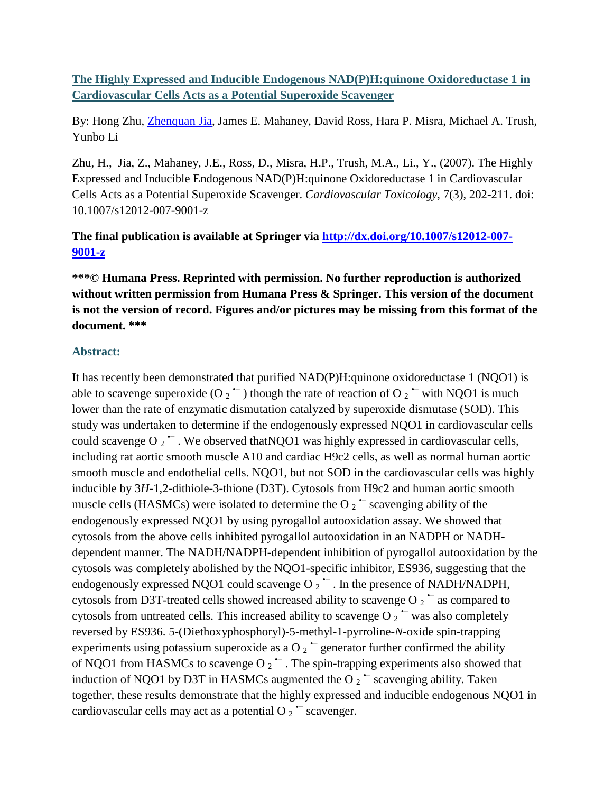**The Highly Expressed and Inducible Endogenous NAD(P)H:quinone Oxidoreductase 1 in Cardiovascular Cells Acts as a Potential Superoxide Scavenger**

By: Hong Zhu, [Zhenquan Jia,](http://libres.uncg.edu/ir/uncg/clist.aspx?id=8895) James E. Mahaney, David Ross, Hara P. Misra, Michael A. Trush, Yunbo Li

Zhu, H., Jia, Z., Mahaney, J.E., Ross, D., Misra, H.P., Trush, M.A., Li., Y., (2007). The Highly Expressed and Inducible Endogenous NAD(P)H:quinone Oxidoreductase 1 in Cardiovascular Cells Acts as a Potential Superoxide Scavenger. *Cardiovascular Toxicology,* 7(3), 202-211. doi: 10.1007/s12012-007-9001-z

**The final publication is available at Springer via [http://dx.doi.org/10.1007/s12012-007-](http://dx.doi.org/10.1007/s12012-007-9001-z) [9001-z](http://dx.doi.org/10.1007/s12012-007-9001-z)**

**\*\*\*© Humana Press. Reprinted with permission. No further reproduction is authorized without written permission from Humana Press & Springer. This version of the document is not the version of record. Figures and/or pictures may be missing from this format of the document. \*\*\***

### **Abstract:**

It has recently been demonstrated that purified NAD(P)H:quinone oxidoreductase 1 (NQO1) is able to scavenge superoxide (O  $_2$   $\sim$  ) though the rate of reaction of O  $_2$   $\sim$  with NQO1 is much lower than the rate of enzymatic dismutation catalyzed by superoxide dismutase (SOD). This study was undertaken to determine if the endogenously expressed NQO1 in cardiovascular cells could scavenge O  $2^{\bullet}$ . We observed that NOO1 was highly expressed in cardiovascular cells, including rat aortic smooth muscle A10 and cardiac H9c2 cells, as well as normal human aortic smooth muscle and endothelial cells. NQO1, but not SOD in the cardiovascular cells was highly inducible by 3*H*-1,2-dithiole-3-thione (D3T). Cytosols from H9c2 and human aortic smooth muscle cells (HASMCs) were isolated to determine the O  $_2$   $\sim$  scavenging ability of the endogenously expressed NQO1 by using pyrogallol autooxidation assay. We showed that cytosols from the above cells inhibited pyrogallol autooxidation in an NADPH or NADHdependent manner. The NADH/NADPH-dependent inhibition of pyrogallol autooxidation by the cytosols was completely abolished by the NQO1-specific inhibitor, ES936, suggesting that the endogenously expressed NQO1 could scavenge O  $_2$   $\sim$  . In the presence of NADH/NADPH, cytosols from D3T-treated cells showed increased ability to scavenge O  $_2$   $\sim$  as compared to cytosols from untreated cells. This increased ability to scavenge O  $_2$   $\sim$  was also completely reversed by ES936. 5-(Diethoxyphosphoryl)-5-methyl-1-pyrroline-*N*-oxide spin-trapping experiments using potassium superoxide as a O  $_2$   $\sim$  generator further confirmed the ability of NQO1 from HASMCs to scavenge O  $_2$   $\overline{\phantom{a}}$ . The spin-trapping experiments also showed that induction of NQO1 by D3T in HASMCs augmented the O  $2 \times 2$  scavenging ability. Taken together, these results demonstrate that the highly expressed and inducible endogenous NQO1 in cardiovascular cells may act as a potential O  $_2$   $\sim$  scavenger.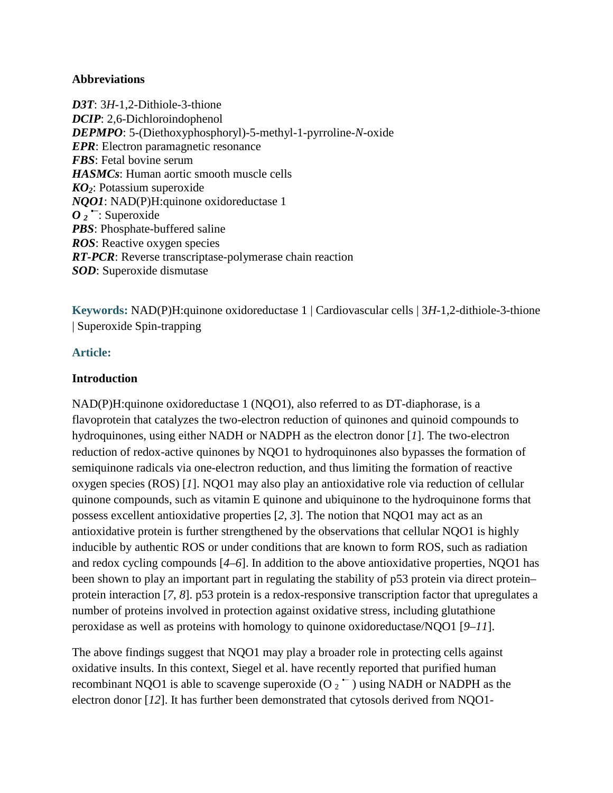#### **Abbreviations**

*D3T*: 3*H*-1,2-Dithiole-3-thione *DCIP*: 2,6-Dichloroindophenol *DEPMPO*: 5-(Diethoxyphosphoryl)-5-methyl-1-pyrroline-*N*-oxide *EPR*: Electron paramagnetic resonance *FBS*: Fetal bovine serum *HASMCs*: Human aortic smooth muscle cells *KO2*: Potassium superoxide *NQO1*: NAD(P)H:quinone oxidoreductase 1 *O*  $\overline{2}$  <sup>→</sup>: Superoxide *PBS*: Phosphate-buffered saline *ROS*: Reactive oxygen species *RT-PCR*: Reverse transcriptase-polymerase chain reaction *SOD*: Superoxide dismutase

**Keywords:** NAD(P)H:quinone oxidoreductase 1 | Cardiovascular cells | 3*H*-1,2-dithiole-3-thione | Superoxide Spin-trapping

### **Article:**

### **Introduction**

NAD(P)H:quinone oxidoreductase 1 (NQO1), also referred to as DT-diaphorase, is a flavoprotein that catalyzes the two-electron reduction of quinones and quinoid compounds to hydroquinones, using either NADH or NADPH as the electron donor [*1*]. The two-electron reduction of redox-active quinones by NQO1 to hydroquinones also bypasses the formation of semiquinone radicals via one-electron reduction, and thus limiting the formation of reactive oxygen species (ROS) [*1*]. NQO1 may also play an antioxidative role via reduction of cellular quinone compounds, such as vitamin E quinone and ubiquinone to the hydroquinone forms that possess excellent antioxidative properties [*2*, *3*]. The notion that NQO1 may act as an antioxidative protein is further strengthened by the observations that cellular NQO1 is highly inducible by authentic ROS or under conditions that are known to form ROS, such as radiation and redox cycling compounds [*4*–*6*]. In addition to the above antioxidative properties, NQO1 has been shown to play an important part in regulating the stability of p53 protein via direct protein– protein interaction [*7*, *8*]. p53 protein is a redox-responsive transcription factor that upregulates a number of proteins involved in protection against oxidative stress, including glutathione peroxidase as well as proteins with homology to quinone oxidoreductase/NQO1 [*9*–*11*].

The above findings suggest that NQO1 may play a broader role in protecting cells against oxidative insults. In this context, Siegel et al. have recently reported that purified human recombinant NQO1 is able to scavenge superoxide (O  $_2$   $\sim$  ) using NADH or NADPH as the electron donor [*12*]. It has further been demonstrated that cytosols derived from NQO1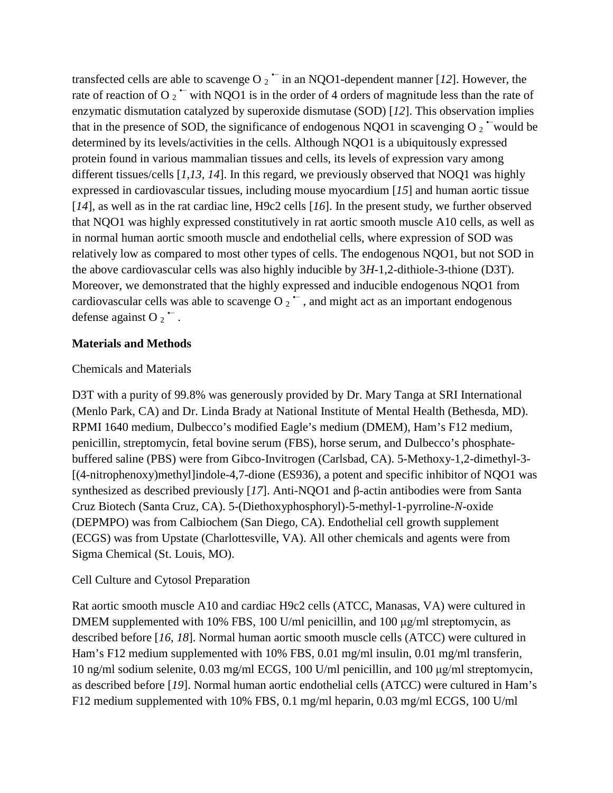transfected cells are able to scavenge O  $_2$   $\sim$  in an NQO1-dependent manner [*12*]. However, the rate of reaction of O  $_2$   $\sim$  with NQO1 is in the order of 4 orders of magnitude less than the rate of enzymatic dismutation catalyzed by superoxide dismutase (SOD) [*12*]. This observation implies that in the presence of SOD, the significance of endogenous NQO1 in scavenging O  $_2$   $\sim$  would be determined by its levels/activities in the cells. Although NQO1 is a ubiquitously expressed protein found in various mammalian tissues and cells, its levels of expression vary among different tissues/cells [*1*,*13*, *14*]. In this regard, we previously observed that NOQ1 was highly expressed in cardiovascular tissues, including mouse myocardium [*15*] and human aortic tissue [*14*], as well as in the rat cardiac line, H9c2 cells [*16*]. In the present study, we further observed that NQO1 was highly expressed constitutively in rat aortic smooth muscle A10 cells, as well as in normal human aortic smooth muscle and endothelial cells, where expression of SOD was relatively low as compared to most other types of cells. The endogenous NQO1, but not SOD in the above cardiovascular cells was also highly inducible by 3*H*-1,2-dithiole-3-thione (D3T). Moreover, we demonstrated that the highly expressed and inducible endogenous NQO1 from cardiovascular cells was able to scavenge O  $_2$   $\sim$ , and might act as an important endogenous defense against O  $_2$   $\overline{\phantom{a}}$ .

### **Materials and Methods**

### Chemicals and Materials

D3T with a purity of 99.8% was generously provided by Dr. Mary Tanga at SRI International (Menlo Park, CA) and Dr. Linda Brady at National Institute of Mental Health (Bethesda, MD). RPMI 1640 medium, Dulbecco's modified Eagle's medium (DMEM), Ham's F12 medium, penicillin, streptomycin, fetal bovine serum (FBS), horse serum, and Dulbecco's phosphatebuffered saline (PBS) were from Gibco-Invitrogen (Carlsbad, CA). 5-Methoxy-1,2-dimethyl-3- [(4-nitrophenoxy)methyl]indole-4,7-dione (ES936), a potent and specific inhibitor of NQO1 was synthesized as described previously [*17*]. Anti-NQO1 and β-actin antibodies were from Santa Cruz Biotech (Santa Cruz, CA). 5-(Diethoxyphosphoryl)-5-methyl-1-pyrroline-*N*-oxide (DEPMPO) was from Calbiochem (San Diego, CA). Endothelial cell growth supplement (ECGS) was from Upstate (Charlottesville, VA). All other chemicals and agents were from Sigma Chemical (St. Louis, MO).

## Cell Culture and Cytosol Preparation

Rat aortic smooth muscle A10 and cardiac H9c2 cells (ATCC, Manasas, VA) were cultured in DMEM supplemented with 10% FBS, 100 U/ml penicillin, and 100 μg/ml streptomycin, as described before [*16*, *18*]. Normal human aortic smooth muscle cells (ATCC) were cultured in Ham's F12 medium supplemented with 10% FBS, 0.01 mg/ml insulin, 0.01 mg/ml transferin, 10 ng/ml sodium selenite, 0.03 mg/ml ECGS, 100 U/ml penicillin, and 100 μg/ml streptomycin, as described before [*19*]. Normal human aortic endothelial cells (ATCC) were cultured in Ham's F12 medium supplemented with 10% FBS, 0.1 mg/ml heparin, 0.03 mg/ml ECGS, 100 U/ml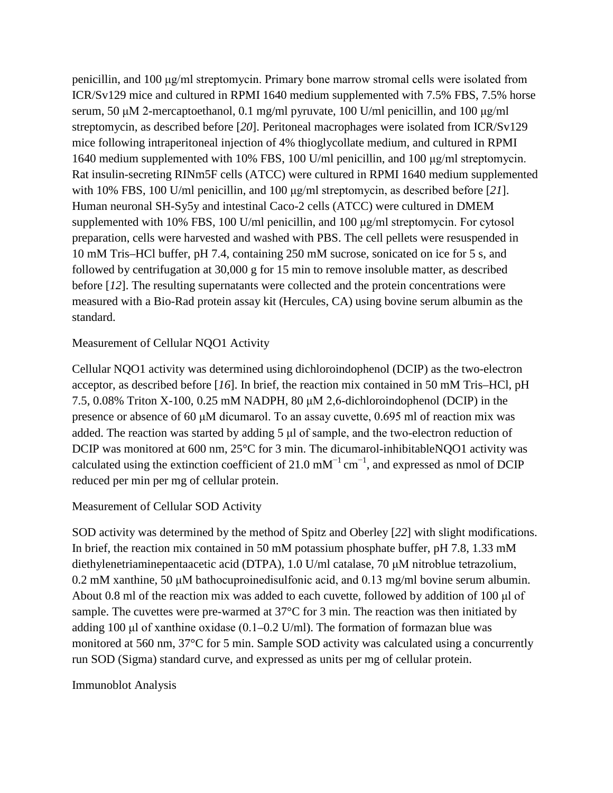penicillin, and 100 μg/ml streptomycin. Primary bone marrow stromal cells were isolated from ICR/Sv129 mice and cultured in RPMI 1640 medium supplemented with 7.5% FBS, 7.5% horse serum, 50 μM 2-mercaptoethanol, 0.1 mg/ml pyruvate, 100 U/ml penicillin, and 100 μg/ml streptomycin, as described before [*20*]. Peritoneal macrophages were isolated from ICR/Sv129 mice following intraperitoneal injection of 4% thioglycollate medium, and cultured in RPMI 1640 medium supplemented with 10% FBS, 100 U/ml penicillin, and 100 μg/ml streptomycin. Rat insulin-secreting RINm5F cells (ATCC) were cultured in RPMI 1640 medium supplemented with 10% FBS, 100 U/ml penicillin, and 100 μg/ml streptomycin, as described before [*21*]. Human neuronal SH-Sy5y and intestinal Caco-2 cells (ATCC) were cultured in DMEM supplemented with 10% FBS, 100 U/ml penicillin, and 100 μg/ml streptomycin. For cytosol preparation, cells were harvested and washed with PBS. The cell pellets were resuspended in 10 mM Tris–HCl buffer, pH 7.4, containing 250 mM sucrose, sonicated on ice for 5 s, and followed by centrifugation at 30,000 g for 15 min to remove insoluble matter, as described before [*12*]. The resulting supernatants were collected and the protein concentrations were measured with a Bio-Rad protein assay kit (Hercules, CA) using bovine serum albumin as the standard.

## Measurement of Cellular NQO1 Activity

Cellular NQO1 activity was determined using dichloroindophenol (DCIP) as the two-electron acceptor, as described before [*16*]. In brief, the reaction mix contained in 50 mM Tris–HCl, pH 7.5, 0.08% Triton X-100, 0.25 mM NADPH, 80 μM 2,6-dichloroindophenol (DCIP) in the presence or absence of 60 μM dicumarol. To an assay cuvette, 0.695 ml of reaction mix was added. The reaction was started by adding 5 μl of sample, and the two-electron reduction of DCIP was monitored at 600 nm, 25°C for 3 min. The dicumarol-inhibitableNQO1 activity was calculated using the extinction coefficient of 21.0 mM<sup>-1</sup> cm<sup>-1</sup>, and expressed as nmol of DCIP reduced per min per mg of cellular protein.

## Measurement of Cellular SOD Activity

SOD activity was determined by the method of Spitz and Oberley [*22*] with slight modifications. In brief, the reaction mix contained in 50 mM potassium phosphate buffer, pH 7.8, 1.33 mM diethylenetriaminepentaacetic acid (DTPA), 1.0 U/ml catalase, 70 μM nitroblue tetrazolium, 0.2 mM xanthine, 50 μM bathocuproinedisulfonic acid, and 0.13 mg/ml bovine serum albumin. About 0.8 ml of the reaction mix was added to each cuvette, followed by addition of 100 μl of sample. The cuvettes were pre-warmed at 37°C for 3 min. The reaction was then initiated by adding 100 μl of xanthine oxidase (0.1–0.2 U/ml). The formation of formazan blue was monitored at 560 nm, 37°C for 5 min. Sample SOD activity was calculated using a concurrently run SOD (Sigma) standard curve, and expressed as units per mg of cellular protein.

### Immunoblot Analysis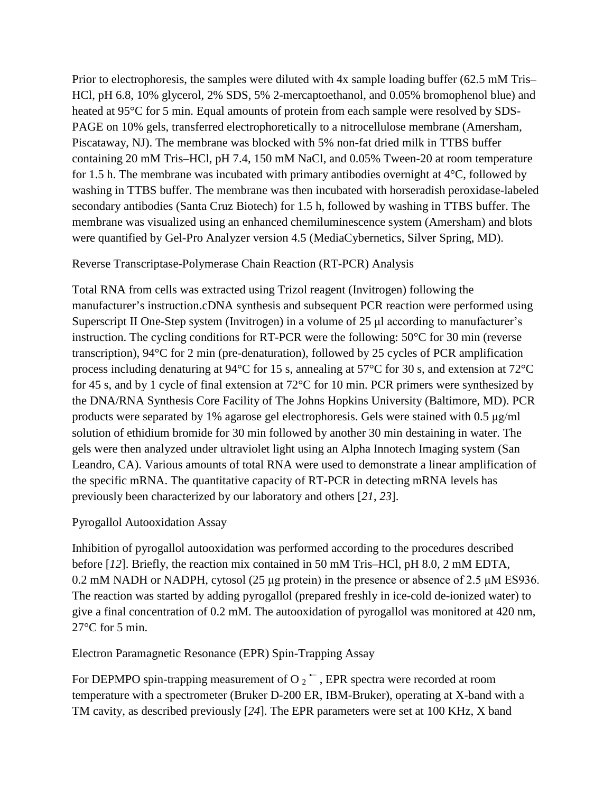Prior to electrophoresis, the samples were diluted with 4x sample loading buffer (62.5 mM Tris– HCl, pH 6.8, 10% glycerol, 2% SDS, 5% 2-mercaptoethanol, and 0.05% bromophenol blue) and heated at 95°C for 5 min. Equal amounts of protein from each sample were resolved by SDS-PAGE on 10% gels, transferred electrophoretically to a nitrocellulose membrane (Amersham, Piscataway, NJ). The membrane was blocked with 5% non-fat dried milk in TTBS buffer containing 20 mM Tris–HCl, pH 7.4, 150 mM NaCl, and 0.05% Tween-20 at room temperature for 1.5 h. The membrane was incubated with primary antibodies overnight at 4°C, followed by washing in TTBS buffer. The membrane was then incubated with horseradish peroxidase-labeled secondary antibodies (Santa Cruz Biotech) for 1.5 h, followed by washing in TTBS buffer. The membrane was visualized using an enhanced chemiluminescence system (Amersham) and blots were quantified by Gel-Pro Analyzer version 4.5 (MediaCybernetics, Silver Spring, MD).

#### Reverse Transcriptase-Polymerase Chain Reaction (RT-PCR) Analysis

Total RNA from cells was extracted using Trizol reagent (Invitrogen) following the manufacturer's instruction.cDNA synthesis and subsequent PCR reaction were performed using Superscript II One-Step system (Invitrogen) in a volume of 25 μl according to manufacturer's instruction. The cycling conditions for RT-PCR were the following: 50°C for 30 min (reverse transcription), 94°C for 2 min (pre-denaturation), followed by 25 cycles of PCR amplification process including denaturing at 94°C for 15 s, annealing at 57°C for 30 s, and extension at 72°C for 45 s, and by 1 cycle of final extension at 72°C for 10 min. PCR primers were synthesized by the DNA/RNA Synthesis Core Facility of The Johns Hopkins University (Baltimore, MD). PCR products were separated by 1% agarose gel electrophoresis. Gels were stained with 0.5 μg/ml solution of ethidium bromide for 30 min followed by another 30 min destaining in water. The gels were then analyzed under ultraviolet light using an Alpha Innotech Imaging system (San Leandro, CA). Various amounts of total RNA were used to demonstrate a linear amplification of the specific mRNA. The quantitative capacity of RT-PCR in detecting mRNA levels has previously been characterized by our laboratory and others [*21*, *23*].

#### Pyrogallol Autooxidation Assay

Inhibition of pyrogallol autooxidation was performed according to the procedures described before [*12*]. Briefly, the reaction mix contained in 50 mM Tris–HCl, pH 8.0, 2 mM EDTA, 0.2 mM NADH or NADPH, cytosol (25 μg protein) in the presence or absence of 2.5 μM ES936. The reaction was started by adding pyrogallol (prepared freshly in ice-cold de-ionized water) to give a final concentration of 0.2 mM. The autooxidation of pyrogallol was monitored at 420 nm, 27°C for 5 min.

Electron Paramagnetic Resonance (EPR) Spin-Trapping Assay

For DEPMPO spin-trapping measurement of O  $_2$   $\sim$  , EPR spectra were recorded at room temperature with a spectrometer (Bruker D-200 ER, IBM-Bruker), operating at X-band with a TM cavity, as described previously [*24*]. The EPR parameters were set at 100 KHz, X band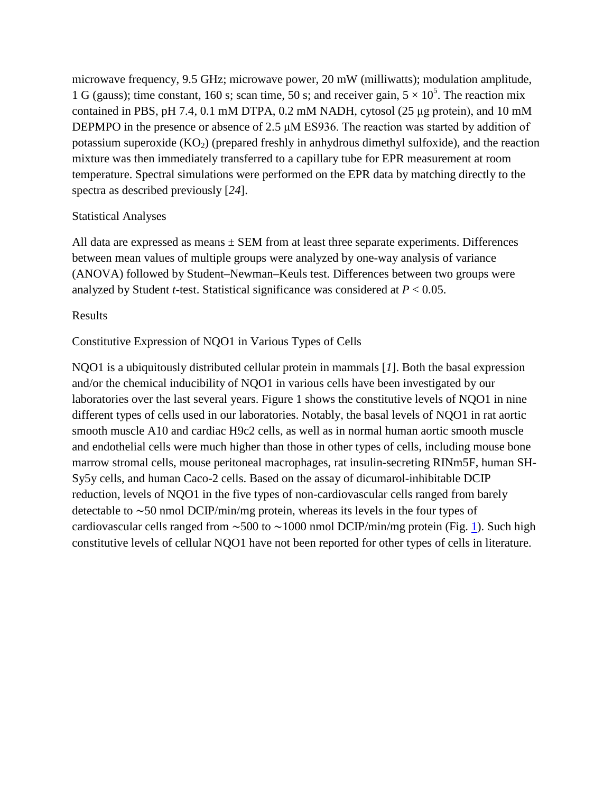microwave frequency, 9.5 GHz; microwave power, 20 mW (milliwatts); modulation amplitude, 1 G (gauss); time constant, 160 s; scan time, 50 s; and receiver gain,  $5 \times 10^5$ . The reaction mix contained in PBS, pH 7.4, 0.1 mM DTPA, 0.2 mM NADH, cytosol (25 μg protein), and 10 mM DEPMPO in the presence or absence of 2.5 μM ES936. The reaction was started by addition of potassium superoxide  $(KO<sub>2</sub>)$  (prepared freshly in anhydrous dimethyl sulfoxide), and the reaction mixture was then immediately transferred to a capillary tube for EPR measurement at room temperature. Spectral simulations were performed on the EPR data by matching directly to the spectra as described previously [*24*].

## Statistical Analyses

All data are expressed as means  $\pm$  SEM from at least three separate experiments. Differences between mean values of multiple groups were analyzed by one-way analysis of variance (ANOVA) followed by Student–Newman–Keuls test. Differences between two groups were analyzed by Student *t*-test. Statistical significance was considered at *P* < 0.05.

### Results

## Constitutive Expression of NQO1 in Various Types of Cells

NQO1 is a ubiquitously distributed cellular protein in mammals [*1*]. Both the basal expression and/or the chemical inducibility of NQO1 in various cells have been investigated by our laboratories over the last several years. Figure 1 shows the constitutive levels of NQO1 in nine different types of cells used in our laboratories. Notably, the basal levels of NQO1 in rat aortic smooth muscle A10 and cardiac H9c2 cells, as well as in normal human aortic smooth muscle and endothelial cells were much higher than those in other types of cells, including mouse bone marrow stromal cells, mouse peritoneal macrophages, rat insulin-secreting RINm5F, human SH-Sy5y cells, and human Caco-2 cells. Based on the assay of dicumarol-inhibitable DCIP reduction, levels of NQO1 in the five types of non-cardiovascular cells ranged from barely detectable to ∼50 nmol DCIP/min/mg protein, whereas its levels in the four types of cardiovascular cells ranged from ~500 to ~1000 nmol DCIP/min/mg protein (Fig. [1\)](http://link.springer.com/article/10.1007/s12012-007-9001-z/fulltext.html#Fig1). Such high constitutive levels of cellular NQO1 have not been reported for other types of cells in literature.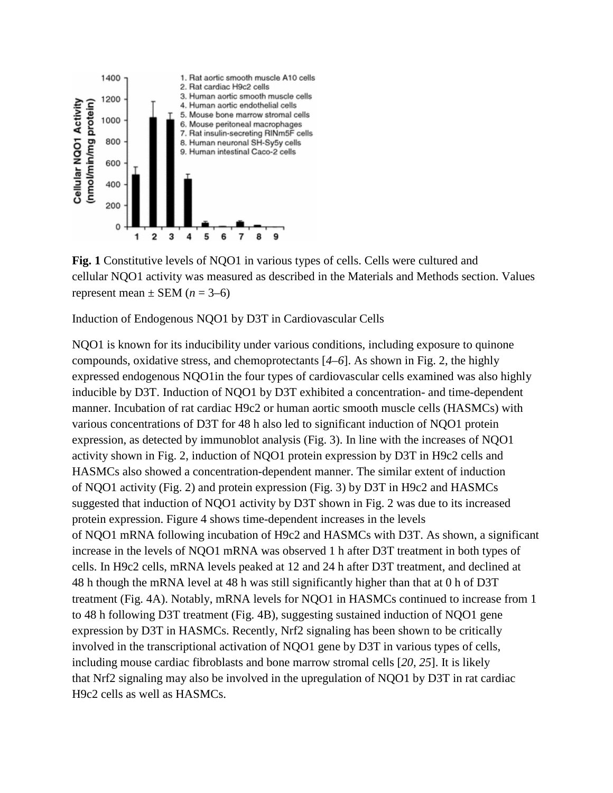

**Fig. 1** Constitutive levels of NQO1 in various types of cells. Cells were cultured and cellular NQO1 activity was measured as described in the Materials and Methods section. Values represent mean  $\pm$  SEM ( $n = 3-6$ )

Induction of Endogenous NQO1 by D3T in Cardiovascular Cells

NQO1 is known for its inducibility under various conditions, including exposure to quinone compounds, oxidative stress, and chemoprotectants [*4*–*6*]. As shown in Fig. 2, the highly expressed endogenous NQO1in the four types of cardiovascular cells examined was also highly inducible by D3T. Induction of NQO1 by D3T exhibited a concentration- and time-dependent manner. Incubation of rat cardiac H9c2 or human aortic smooth muscle cells (HASMCs) with various concentrations of D3T for 48 h also led to significant induction of NQO1 protein expression, as detected by immunoblot analysis (Fig. 3). In line with the increases of NQO1 activity shown in Fig. 2, induction of NQO1 protein expression by D3T in H9c2 cells and HASMCs also showed a concentration-dependent manner. The similar extent of induction of NQO1 activity (Fig. 2) and protein expression (Fig. 3) by D3T in H9c2 and HASMCs suggested that induction of NQO1 activity by D3T shown in Fig. 2 was due to its increased protein expression. Figure 4 shows time-dependent increases in the levels of NQO1 mRNA following incubation of H9c2 and HASMCs with D3T. As shown, a significant increase in the levels of NQO1 mRNA was observed 1 h after D3T treatment in both types of cells. In H9c2 cells, mRNA levels peaked at 12 and 24 h after D3T treatment, and declined at 48 h though the mRNA level at 48 h was still significantly higher than that at 0 h of D3T treatment (Fig. 4A). Notably, mRNA levels for NQO1 in HASMCs continued to increase from 1 to 48 h following D3T treatment (Fig. 4B), suggesting sustained induction of NQO1 gene expression by D3T in HASMCs. Recently, Nrf2 signaling has been shown to be critically involved in the transcriptional activation of NQO1 gene by D3T in various types of cells, including mouse cardiac fibroblasts and bone marrow stromal cells [*20*, *25*]. It is likely that Nrf2 signaling may also be involved in the upregulation of NQO1 by D3T in rat cardiac H9c2 cells as well as HASMCs.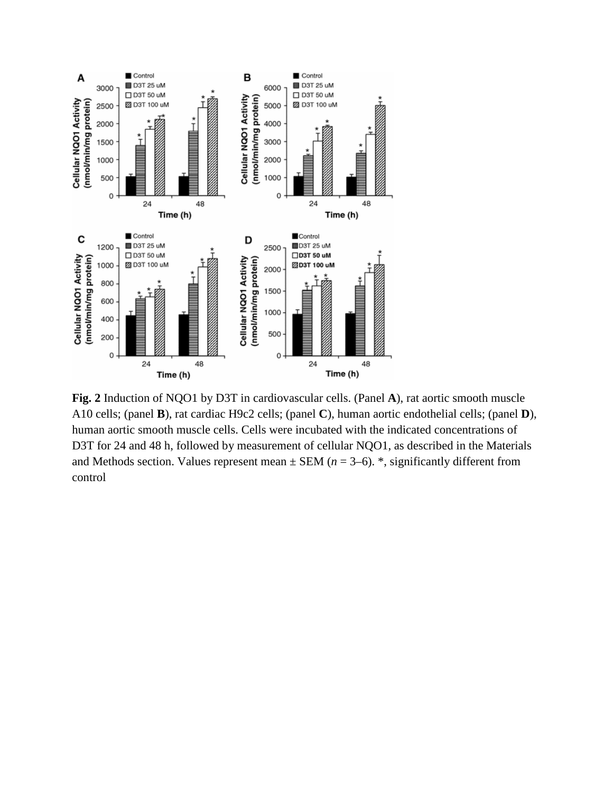

**Fig. 2** Induction of NQO1 by D3T in cardiovascular cells. (Panel **A**), rat aortic smooth muscle A10 cells; (panel **B**), rat cardiac H9c2 cells; (panel **C**), human aortic endothelial cells; (panel **D**), human aortic smooth muscle cells. Cells were incubated with the indicated concentrations of D3T for 24 and 48 h, followed by measurement of cellular NQO1, as described in the Materials and Methods section. Values represent mean  $\pm$  SEM ( $n = 3-6$ ). \*, significantly different from control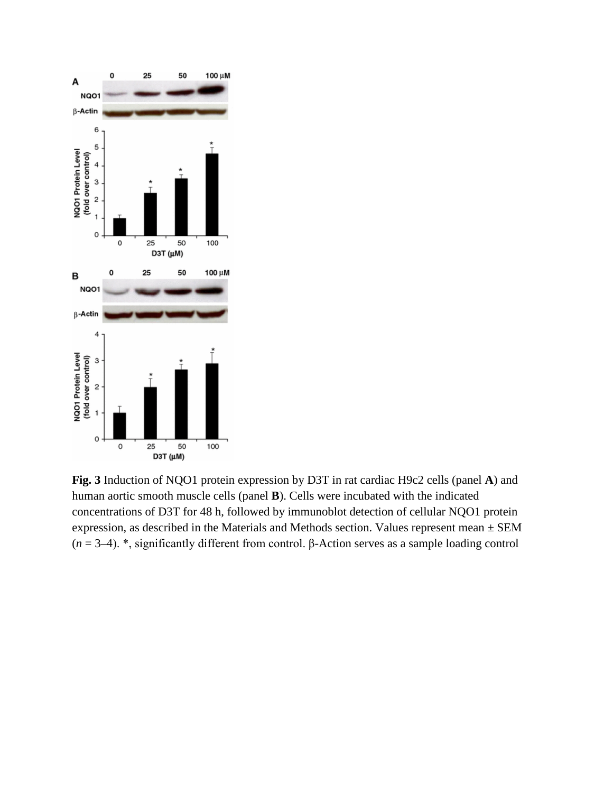

**Fig. 3** Induction of NQO1 protein expression by D3T in rat cardiac H9c2 cells (panel **A**) and human aortic smooth muscle cells (panel **B**). Cells were incubated with the indicated concentrations of D3T for 48 h, followed by immunoblot detection of cellular NQO1 protein expression, as described in the Materials and Methods section. Values represent mean ± SEM (*n* = 3–4). \*, significantly different from control. β-Action serves as a sample loading control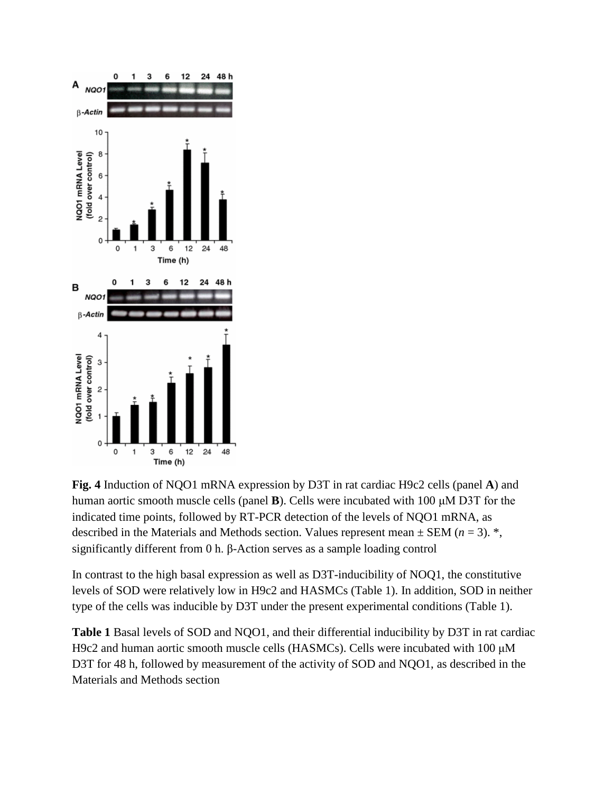

**Fig. 4** Induction of NQO1 mRNA expression by D3T in rat cardiac H9c2 cells (panel **A**) and human aortic smooth muscle cells (panel **B**). Cells were incubated with 100 μM D3T for the indicated time points, followed by RT-PCR detection of the levels of NQO1 mRNA, as described in the Materials and Methods section. Values represent mean  $\pm$  SEM ( $n = 3$ ). \*, significantly different from 0 h. β-Action serves as a sample loading control

In contrast to the high basal expression as well as D3T-inducibility of NOQ1, the constitutive levels of SOD were relatively low in H9c2 and HASMCs (Table 1). In addition, SOD in neither type of the cells was inducible by D3T under the present experimental conditions (Table 1).

**Table 1** Basal levels of SOD and NQO1, and their differential inducibility by D3T in rat cardiac H9c2 and human aortic smooth muscle cells (HASMCs). Cells were incubated with 100 μM D3T for 48 h, followed by measurement of the activity of SOD and NQO1, as described in the Materials and Methods section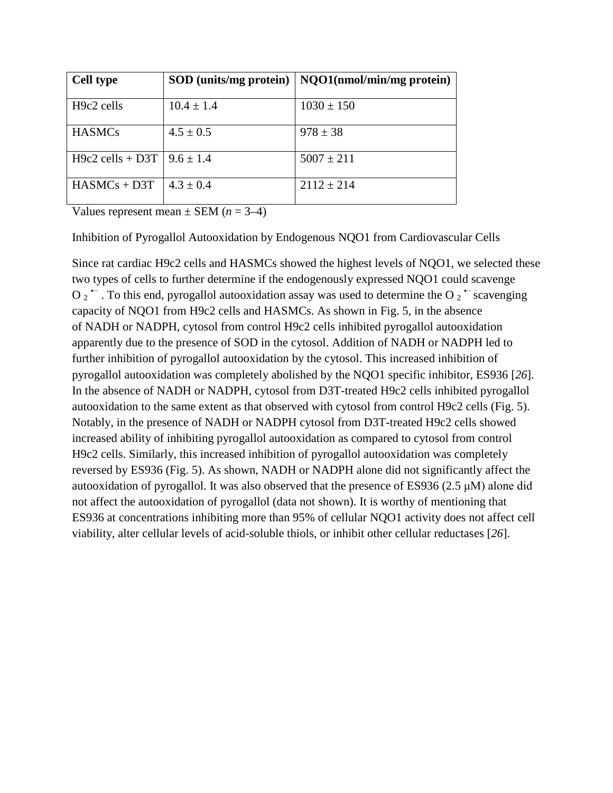| <b>Cell type</b>                 | SOD (units/mg protein) | $\vert$ NQO1(nmol/min/mg protein) |
|----------------------------------|------------------------|-----------------------------------|
| H <sub>9</sub> c2 cells          | $10.4 \pm 1.4$         | $1030 \pm 150$                    |
| <b>HASMCs</b>                    | $4.5 \pm 0.5$          | $978 \pm 38$                      |
| H9c2 cells + D3T   $9.6 \pm 1.4$ |                        | $5007 \pm 211$                    |
| $HASMCs + D3T$                   | $4.3 \pm 0.4$          | $2112 \pm 214$                    |

Values represent mean  $\pm$  SEM ( $n = 3-4$ )

Inhibition of Pyrogallol Autooxidation by Endogenous NQO1 from Cardiovascular Cells

Since rat cardiac H9c2 cells and HASMCs showed the highest levels of NQO1, we selected these two types of cells to further determine if the endogenously expressed NQO1 could scavenge O  $2$   $\sim$  . To this end, pyrogallol autooxidation assay was used to determine the O  $2$   $\sim$  scavenging capacity of NQO1 from H9c2 cells and HASMCs. As shown in Fig. 5, in the absence of NADH or NADPH, cytosol from control H9c2 cells inhibited pyrogallol autooxidation apparently due to the presence of SOD in the cytosol. Addition of NADH or NADPH led to further inhibition of pyrogallol autooxidation by the cytosol. This increased inhibition of pyrogallol autooxidation was completely abolished by the NQO1 specific inhibitor, ES936 [*26*]. In the absence of NADH or NADPH, cytosol from D3T-treated H9c2 cells inhibited pyrogallol autooxidation to the same extent as that observed with cytosol from control H9c2 cells (Fig. 5). Notably, in the presence of NADH or NADPH cytosol from D3T-treated H9c2 cells showed increased ability of inhibiting pyrogallol autooxidation as compared to cytosol from control H9c2 cells. Similarly, this increased inhibition of pyrogallol autooxidation was completely reversed by ES936 (Fig. 5). As shown, NADH or NADPH alone did not significantly affect the autooxidation of pyrogallol. It was also observed that the presence of ES936 (2.5 μM) alone did not affect the autooxidation of pyrogallol (data not shown). It is worthy of mentioning that ES936 at concentrations inhibiting more than 95% of cellular NQO1 activity does not affect cell viability, alter cellular levels of acid-soluble thiols, or inhibit other cellular reductases [*26*].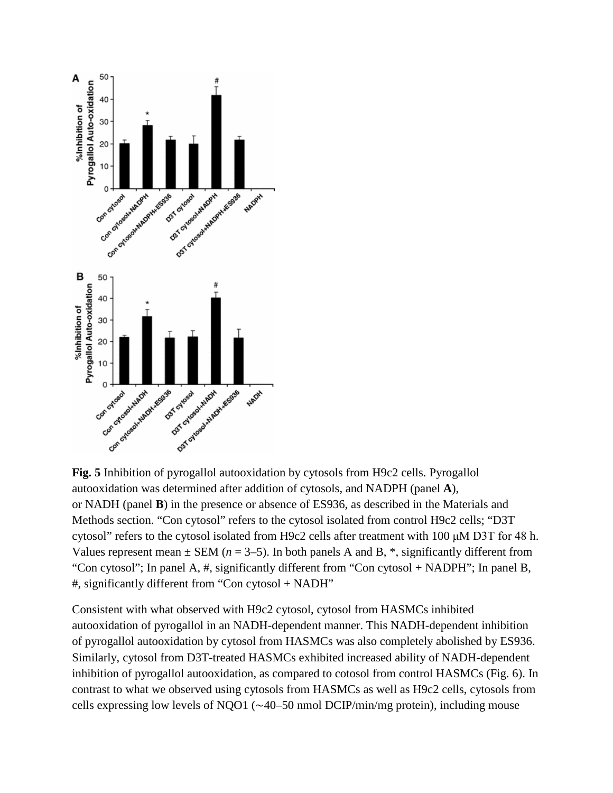

**Fig. 5** Inhibition of pyrogallol autooxidation by cytosols from H9c2 cells. Pyrogallol autooxidation was determined after addition of cytosols, and NADPH (panel **A**), or NADH (panel **B**) in the presence or absence of ES936, as described in the Materials and Methods section. "Con cytosol" refers to the cytosol isolated from control H9c2 cells; "D3T cytosol" refers to the cytosol isolated from H9c2 cells after treatment with 100 μM D3T for 48 h. Values represent mean  $\pm$  SEM ( $n = 3-5$ ). In both panels A and B,  $*$ , significantly different from "Con cytosol"; In panel A, #, significantly different from "Con cytosol + NADPH"; In panel B, #, significantly different from "Con cytosol + NADH"

Consistent with what observed with H9c2 cytosol, cytosol from HASMCs inhibited autooxidation of pyrogallol in an NADH-dependent manner. This NADH-dependent inhibition of pyrogallol autooxidation by cytosol from HASMCs was also completely abolished by ES936. Similarly, cytosol from D3T-treated HASMCs exhibited increased ability of NADH-dependent inhibition of pyrogallol autooxidation, as compared to cotosol from control HASMCs (Fig. 6). In contrast to what we observed using cytosols from HASMCs as well as H9c2 cells, cytosols from cells expressing low levels of NQO1 (∼40–50 nmol DCIP/min/mg protein), including mouse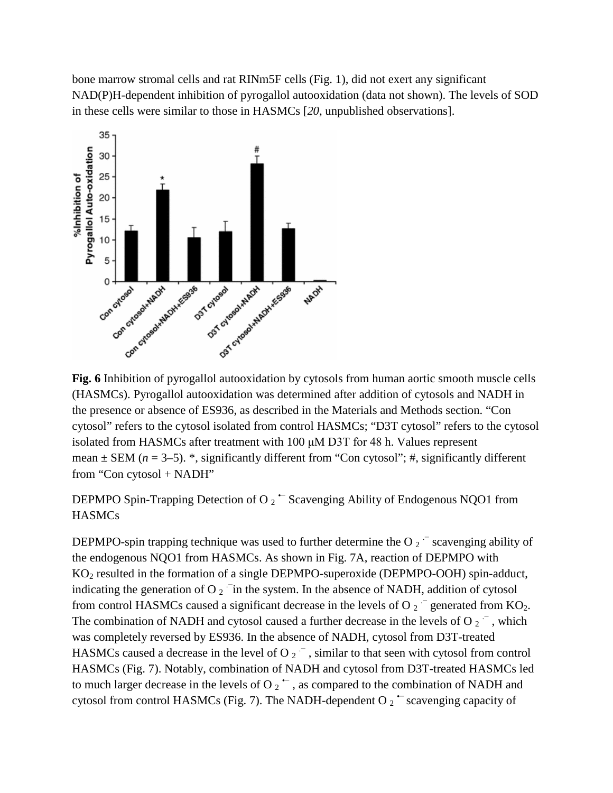bone marrow stromal cells and rat RINm5F cells (Fig. 1), did not exert any significant NAD(P)H-dependent inhibition of pyrogallol autooxidation (data not shown). The levels of SOD in these cells were similar to those in HASMCs [*20*, unpublished observations].



**Fig. 6** Inhibition of pyrogallol autooxidation by cytosols from human aortic smooth muscle cells (HASMCs). Pyrogallol autooxidation was determined after addition of cytosols and NADH in the presence or absence of ES936, as described in the Materials and Methods section. "Con cytosol" refers to the cytosol isolated from control HASMCs; "D3T cytosol" refers to the cytosol isolated from HASMCs after treatment with 100 μM D3T for 48 h. Values represent mean  $\pm$  SEM ( $n = 3-5$ ). \*, significantly different from "Con cytosol"; #, significantly different from "Con cytosol + NADH"

DEPMPO Spin-Trapping Detection of O  $_2$   $\sim$  Scavenging Ability of Endogenous NQO1 from HASMCs

DEPMPO-spin trapping technique was used to further determine the O  $2^{\degree}$  scavenging ability of the endogenous NQO1 from HASMCs. As shown in Fig. 7A, reaction of DEPMPO with  $KO<sub>2</sub>$  resulted in the formation of a single DEPMPO-superoxide (DEPMPO-OOH) spin-adduct, indicating the generation of O  $_2$   $\overline{\phantom{a}}$  in the system. In the absence of NADH, addition of cytosol from control HASMCs caused a significant decrease in the levels of O  $_2$   $\bar{\phantom{2}}$  generated from KO<sub>2</sub>. The combination of NADH and cytosol caused a further decrease in the levels of O  $_2$ <sup>-</sup>, which was completely reversed by ES936. In the absence of NADH, cytosol from D3T-treated HASMCs caused a decrease in the level of O  $_2$   $\bar{\phantom{0}}$ , similar to that seen with cytosol from control HASMCs (Fig. 7). Notably, combination of NADH and cytosol from D3T-treated HASMCs led to much larger decrease in the levels of O  $_2$   $\sim$ , as compared to the combination of NADH and cytosol from control HASMCs (Fig. 7). The NADH-dependent O  $2 \degree$  scavenging capacity of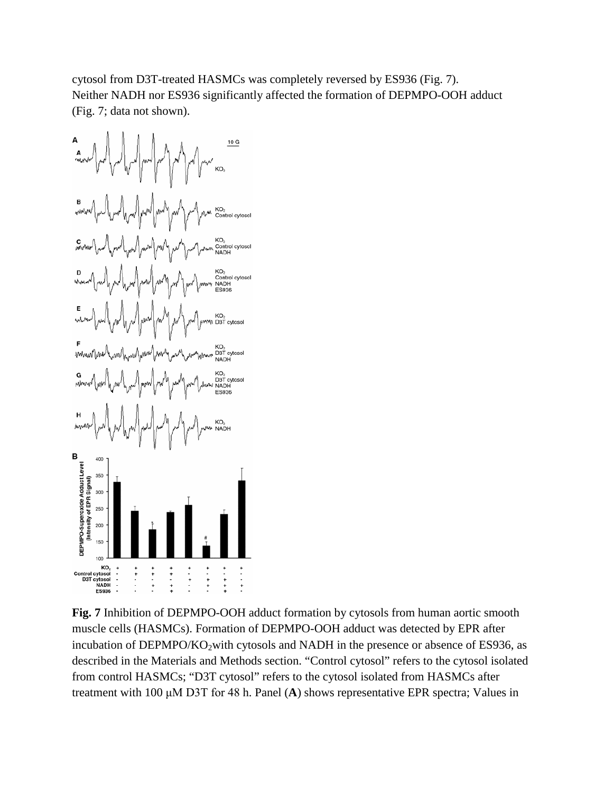cytosol from D3T-treated HASMCs was completely reversed by ES936 (Fig. 7). Neither NADH nor ES936 significantly affected the formation of DEPMPO-OOH adduct (Fig. 7; data not shown).



**Fig. 7** Inhibition of DEPMPO-OOH adduct formation by cytosols from human aortic smooth muscle cells (HASMCs). Formation of DEPMPO-OOH adduct was detected by EPR after incubation of DEPMPO/KO<sub>2</sub>with cytosols and NADH in the presence or absence of ES936, as described in the Materials and Methods section. "Control cytosol" refers to the cytosol isolated from control HASMCs; "D3T cytosol" refers to the cytosol isolated from HASMCs after treatment with 100 μM D3T for 48 h. Panel (**A**) shows representative EPR spectra; Values in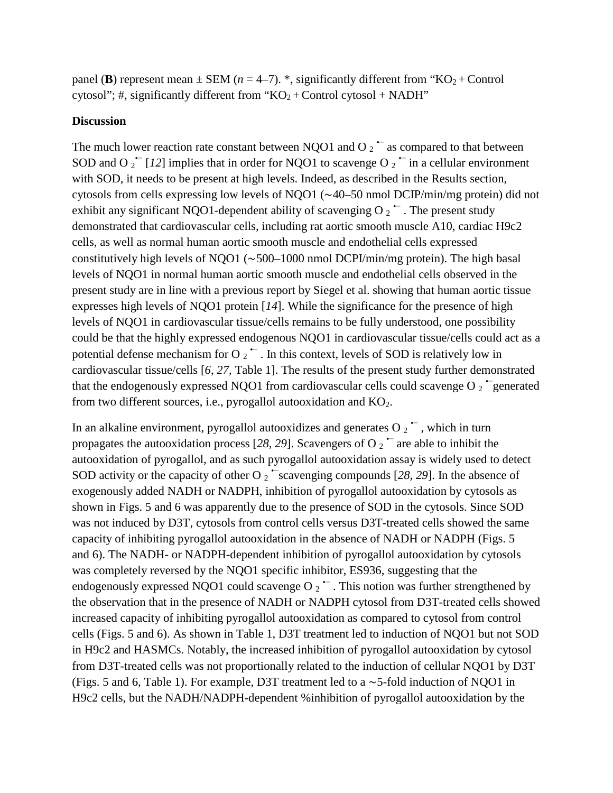panel (**B**) represent mean  $\pm$  SEM ( $n = 4-7$ ). \*, significantly different from "KO<sub>2</sub> + Control cytosol"; #, significantly different from " $KO<sub>2</sub> + Control$  cytosol + NADH"

### **Discussion**

The much lower reaction rate constant between NQO1 and O  $_2$   $\sim$  as compared to that between SOD and O  $_2$ <sup> $-$ </sup> [12] implies that in order for NQO1 to scavenge O  $_2$   $-$  in a cellular environment with SOD, it needs to be present at high levels. Indeed, as described in the Results section, cytosols from cells expressing low levels of NQO1 (∼40–50 nmol DCIP/min/mg protein) did not exhibit any significant NQO1-dependent ability of scavenging O  $2^{\bullet}$ . The present study demonstrated that cardiovascular cells, including rat aortic smooth muscle A10, cardiac H9c2 cells, as well as normal human aortic smooth muscle and endothelial cells expressed constitutively high levels of NQO1 (∼500–1000 nmol DCPI/min/mg protein). The high basal levels of NQO1 in normal human aortic smooth muscle and endothelial cells observed in the present study are in line with a previous report by Siegel et al. showing that human aortic tissue expresses high levels of NQO1 protein [*14*]. While the significance for the presence of high levels of NQO1 in cardiovascular tissue/cells remains to be fully understood, one possibility could be that the highly expressed endogenous NQO1 in cardiovascular tissue/cells could act as a potential defense mechanism for O  $_2$   $\sim$  . In this context, levels of SOD is relatively low in cardiovascular tissue/cells [*6*, *27*, Table 1]. The results of the present study further demonstrated that the endogenously expressed NQO1 from cardiovascular cells could scavenge O  $_2$   $\bar{\ }$  generated from two different sources, i.e., pyrogallol autooxidation and  $KO<sub>2</sub>$ .

In an alkaline environment, pyrogallol autooxidizes and generates  $O_2^{\bullet-}$ , which in turn propagates the autooxidation process [28, 29]. Scavengers of O  $_2$   $\sim$  are able to inhibit the autooxidation of pyrogallol, and as such pyrogallol autooxidation assay is widely used to detect SOD activity or the capacity of other O  $_2$   $\sim$  scavenging compounds [28, 29]. In the absence of exogenously added NADH or NADPH, inhibition of pyrogallol autooxidation by cytosols as shown in Figs. 5 and 6 was apparently due to the presence of SOD in the cytosols. Since SOD was not induced by D3T, cytosols from control cells versus D3T-treated cells showed the same capacity of inhibiting pyrogallol autooxidation in the absence of NADH or NADPH (Figs. 5 and 6). The NADH- or NADPH-dependent inhibition of pyrogallol autooxidation by cytosols was completely reversed by the NQO1 specific inhibitor, ES936, suggesting that the endogenously expressed NQO1 could scavenge O  $_2$   $\sim$  . This notion was further strengthened by the observation that in the presence of NADH or NADPH cytosol from D3T-treated cells showed increased capacity of inhibiting pyrogallol autooxidation as compared to cytosol from control cells (Figs. 5 and 6). As shown in Table 1, D3T treatment led to induction of NQO1 but not SOD in H9c2 and HASMCs. Notably, the increased inhibition of pyrogallol autooxidation by cytosol from D3T-treated cells was not proportionally related to the induction of cellular NQO1 by D3T (Figs. 5 and 6, Table 1). For example, D3T treatment led to a ∼5-fold induction of NQO1 in H9c2 cells, but the NADH/NADPH-dependent %inhibition of pyrogallol autooxidation by the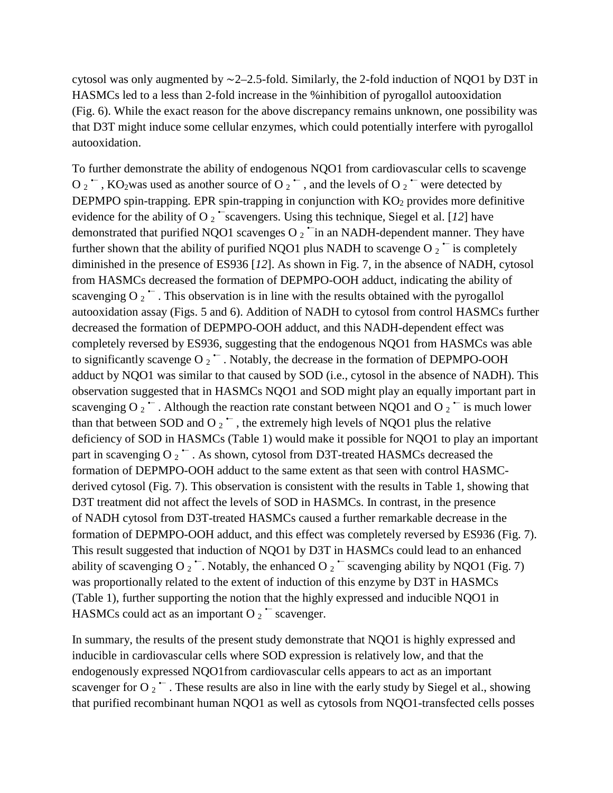cytosol was only augmented by ∼2–2.5-fold. Similarly, the 2-fold induction of NQO1 by D3T in HASMCs led to a less than 2-fold increase in the %inhibition of pyrogallol autooxidation (Fig. 6). While the exact reason for the above discrepancy remains unknown, one possibility was that D3T might induce some cellular enzymes, which could potentially interfere with pyrogallol autooxidation.

To further demonstrate the ability of endogenous NQO1 from cardiovascular cells to scavenge O  $_2$   $\sim$ , KO<sub>2</sub>was used as another source of O  $_2$   $\sim$ , and the levels of O  $_2$   $\sim$  were detected by DEPMPO spin-trapping. EPR spin-trapping in conjunction with  $KO<sub>2</sub>$  provides more definitive evidence for the ability of O<sub>2</sub>  $\sim$  scavengers. Using this technique, Siegel et al. [12] have demonstrated that purified NQO1 scavenges O  $_2$   $\tilde{ }$  in an NADH-dependent manner. They have further shown that the ability of purified NQO1 plus NADH to scavenge O  $2^{\text{-}}$  is completely diminished in the presence of ES936 [*12*]. As shown in Fig. 7, in the absence of NADH, cytosol from HASMCs decreased the formation of DEPMPO-OOH adduct, indicating the ability of scavenging O  $_2$   $\sim$  . This observation is in line with the results obtained with the pyrogallol autooxidation assay (Figs. 5 and 6). Addition of NADH to cytosol from control HASMCs further decreased the formation of DEPMPO-OOH adduct, and this NADH-dependent effect was completely reversed by ES936, suggesting that the endogenous NQO1 from HASMCs was able to significantly scavenge O  $_2$   $\overline{\phantom{a}}$ . Notably, the decrease in the formation of DEPMPO-OOH adduct by NQO1 was similar to that caused by SOD (i.e., cytosol in the absence of NADH). This observation suggested that in HASMCs NQO1 and SOD might play an equally important part in scavenging O  $_2$   $\sim$  . Although the reaction rate constant between NQO1 and O  $_2$   $\sim$  is much lower than that between SOD and O  $_2$   $\sim$ , the extremely high levels of NQO1 plus the relative deficiency of SOD in HASMCs (Table 1) would make it possible for NQO1 to play an important part in scavenging O  $_2$   $\sim$  . As shown, cytosol from D3T-treated HASMCs decreased the formation of DEPMPO-OOH adduct to the same extent as that seen with control HASMCderived cytosol (Fig. 7). This observation is consistent with the results in Table 1, showing that D3T treatment did not affect the levels of SOD in HASMCs. In contrast, in the presence of NADH cytosol from D3T-treated HASMCs caused a further remarkable decrease in the formation of DEPMPO-OOH adduct, and this effect was completely reversed by ES936 (Fig. 7). This result suggested that induction of NQO1 by D3T in HASMCs could lead to an enhanced ability of scavenging O  $_2$   $\sim$ . Notably, the enhanced O  $_2$   $\sim$  scavenging ability by NQO1 (Fig. 7) was proportionally related to the extent of induction of this enzyme by D3T in HASMCs (Table 1), further supporting the notion that the highly expressed and inducible NQO1 in HASMCs could act as an important O  $_2$   $\sim$  scavenger.

In summary, the results of the present study demonstrate that NQO1 is highly expressed and inducible in cardiovascular cells where SOD expression is relatively low, and that the endogenously expressed NQO1from cardiovascular cells appears to act as an important scavenger for O  $_2$   $\sim$  . These results are also in line with the early study by Siegel et al., showing that purified recombinant human NQO1 as well as cytosols from NQO1-transfected cells posses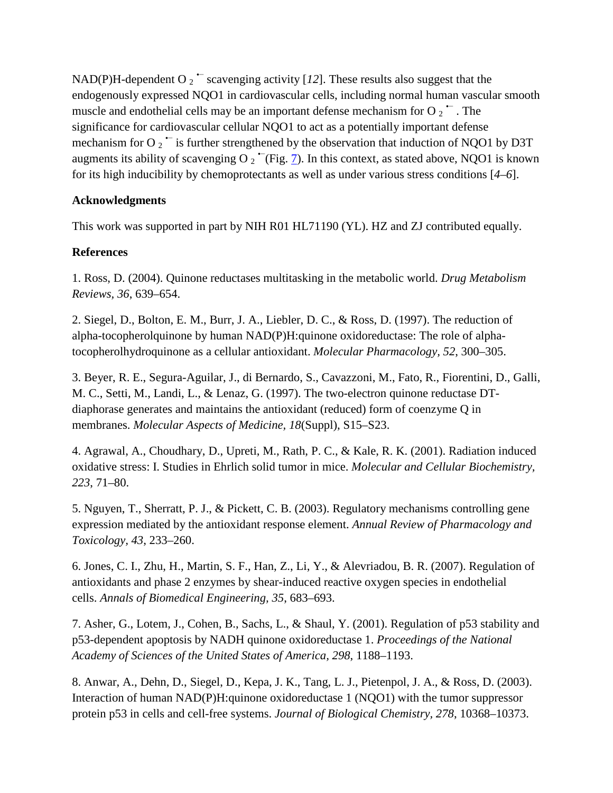NAD(P)H-dependent O  $_2$   $\sim$  scavenging activity [12]. These results also suggest that the endogenously expressed NQO1 in cardiovascular cells, including normal human vascular smooth muscle and endothelial cells may be an important defense mechanism for O  $\sigma$ <sup> $\sim$ </sup>. The significance for cardiovascular cellular NQO1 to act as a potentially important defense mechanism for O  $_2$   $\sim$  is further strengthened by the observation that induction of NQO1 by D3T augments its ability of scavenging O  $_2$   $\tilde{ }$  (Fig. [7\)](http://link.springer.com/article/10.1007/s12012-007-9001-z/fulltext.html#Fig7). In this context, as stated above, NQO1 is known for its high inducibility by chemoprotectants as well as under various stress conditions [*4*–*6*].

# **Acknowledgments**

This work was supported in part by NIH R01 HL71190 (YL). HZ and ZJ contributed equally.

# **References**

1. Ross, D. (2004). Quinone reductases multitasking in the metabolic world. *Drug Metabolism Reviews, 36*, 639–654.

2. Siegel, D., Bolton, E. M., Burr, J. A., Liebler, D. C., & Ross, D. (1997). The reduction of alpha-tocopherolquinone by human NAD(P)H:quinone oxidoreductase: The role of alphatocopherolhydroquinone as a cellular antioxidant. *Molecular Pharmacology, 52*, 300–305.

3. Beyer, R. E., Segura-Aguilar, J., di Bernardo, S., Cavazzoni, M., Fato, R., Fiorentini, D., Galli, M. C., Setti, M., Landi, L., & Lenaz, G. (1997). The two-electron quinone reductase DTdiaphorase generates and maintains the antioxidant (reduced) form of coenzyme Q in membranes. *Molecular Aspects of Medicine, 18*(Suppl), S15–S23.

4. Agrawal, A., Choudhary, D., Upreti, M., Rath, P. C., & Kale, R. K. (2001). Radiation induced oxidative stress: I. Studies in Ehrlich solid tumor in mice. *Molecular and Cellular Biochemistry, 223*, 71–80.

5. Nguyen, T., Sherratt, P. J., & Pickett, C. B. (2003). Regulatory mechanisms controlling gene expression mediated by the antioxidant response element. *Annual Review of Pharmacology and Toxicology, 43*, 233–260.

6. Jones, C. I., Zhu, H., Martin, S. F., Han, Z., Li, Y., & Alevriadou, B. R. (2007). Regulation of antioxidants and phase 2 enzymes by shear-induced reactive oxygen species in endothelial cells. *Annals of Biomedical Engineering, 35*, 683–693.

7. Asher, G., Lotem, J., Cohen, B., Sachs, L., & Shaul, Y. (2001). Regulation of p53 stability and p53-dependent apoptosis by NADH quinone oxidoreductase 1. *Proceedings of the National Academy of Sciences of the United States of America, 298*, 1188–1193.

8. Anwar, A., Dehn, D., Siegel, D., Kepa, J. K., Tang, L. J., Pietenpol, J. A., & Ross, D. (2003). Interaction of human NAD(P)H:quinone oxidoreductase 1 (NQO1) with the tumor suppressor protein p53 in cells and cell-free systems. *Journal of Biological Chemistry, 278*, 10368–10373.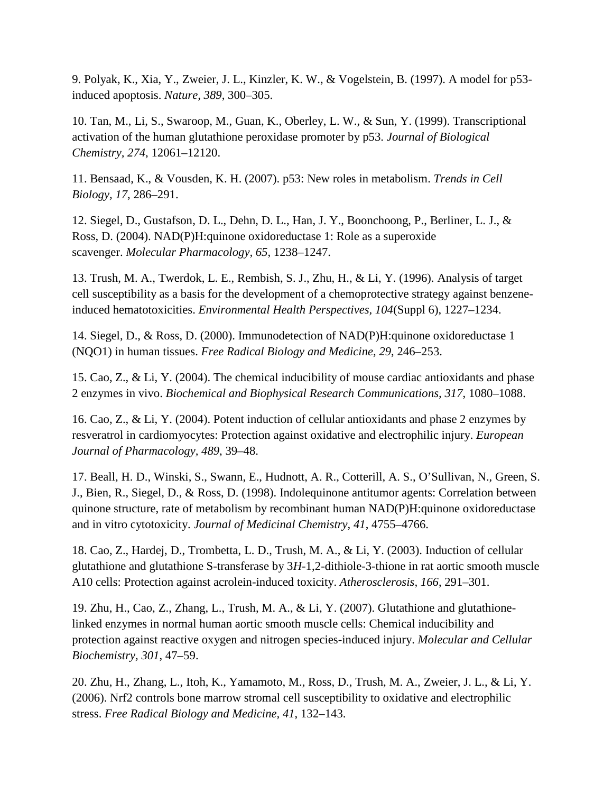9. Polyak, K., Xia, Y., Zweier, J. L., Kinzler, K. W., & Vogelstein, B. (1997). A model for p53 induced apoptosis. *Nature, 389*, 300–305.

10. Tan, M., Li, S., Swaroop, M., Guan, K., Oberley, L. W., & Sun, Y. (1999). Transcriptional activation of the human glutathione peroxidase promoter by p53. *Journal of Biological Chemistry, 274*, 12061–12120.

11. Bensaad, K., & Vousden, K. H. (2007). p53: New roles in metabolism. *Trends in Cell Biology, 17*, 286–291.

12. Siegel, D., Gustafson, D. L., Dehn, D. L., Han, J. Y., Boonchoong, P., Berliner, L. J., & Ross, D. (2004). NAD(P)H:quinone oxidoreductase 1: Role as a superoxide scavenger. *Molecular Pharmacology, 65*, 1238–1247.

13. Trush, M. A., Twerdok, L. E., Rembish, S. J., Zhu, H., & Li, Y. (1996). Analysis of target cell susceptibility as a basis for the development of a chemoprotective strategy against benzeneinduced hematotoxicities. *Environmental Health Perspectives, 104*(Suppl 6), 1227–1234.

14. Siegel, D., & Ross, D. (2000). Immunodetection of NAD(P)H:quinone oxidoreductase 1 (NQO1) in human tissues. *Free Radical Biology and Medicine, 29*, 246–253.

15. Cao, Z., & Li, Y. (2004). The chemical inducibility of mouse cardiac antioxidants and phase 2 enzymes in vivo. *Biochemical and Biophysical Research Communications, 317*, 1080–1088.

16. Cao, Z., & Li, Y. (2004). Potent induction of cellular antioxidants and phase 2 enzymes by resveratrol in cardiomyocytes: Protection against oxidative and electrophilic injury. *European Journal of Pharmacology, 489*, 39–48.

17. Beall, H. D., Winski, S., Swann, E., Hudnott, A. R., Cotterill, A. S., O'Sullivan, N., Green, S. J., Bien, R., Siegel, D., & Ross, D. (1998). Indolequinone antitumor agents: Correlation between quinone structure, rate of metabolism by recombinant human NAD(P)H:quinone oxidoreductase and in vitro cytotoxicity. *Journal of Medicinal Chemistry, 41*, 4755–4766.

18. Cao, Z., Hardej, D., Trombetta, L. D., Trush, M. A., & Li, Y. (2003). Induction of cellular glutathione and glutathione S-transferase by 3*H*-1,2-dithiole-3-thione in rat aortic smooth muscle A10 cells: Protection against acrolein-induced toxicity. *Atherosclerosis, 166*, 291–301.

19. Zhu, H., Cao, Z., Zhang, L., Trush, M. A., & Li, Y. (2007). Glutathione and glutathionelinked enzymes in normal human aortic smooth muscle cells: Chemical inducibility and protection against reactive oxygen and nitrogen species-induced injury. *Molecular and Cellular Biochemistry, 301*, 47–59.

20. Zhu, H., Zhang, L., Itoh, K., Yamamoto, M., Ross, D., Trush, M. A., Zweier, J. L., & Li, Y. (2006). Nrf2 controls bone marrow stromal cell susceptibility to oxidative and electrophilic stress. *Free Radical Biology and Medicine, 41*, 132–143.